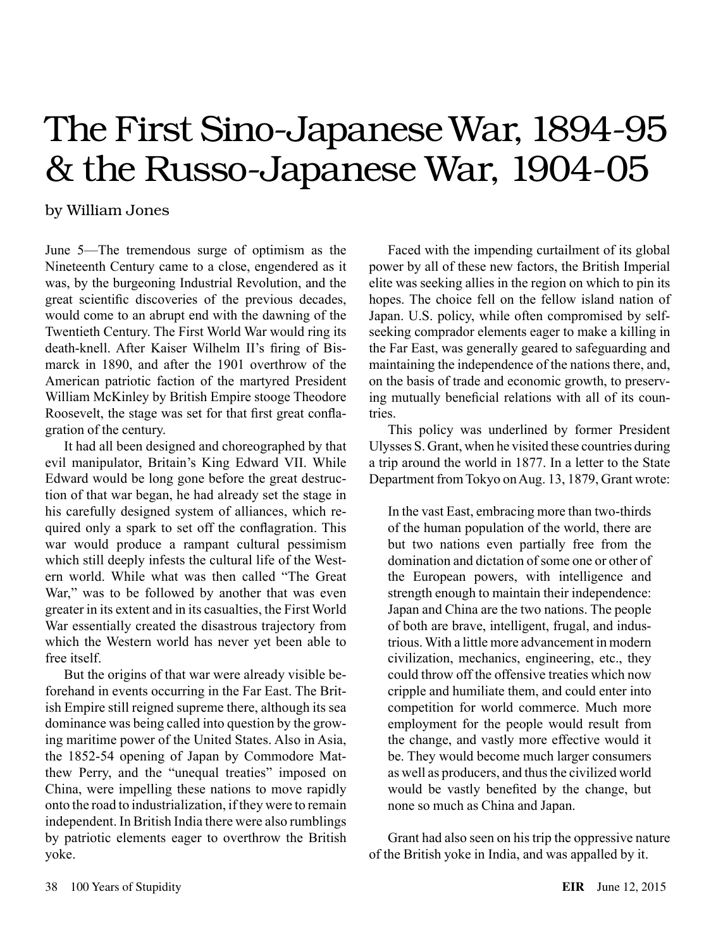# The First Sino-Japanese War, 1894-95 & the Russo-Japanese War, 1904-05

## by William Jones

June 5—The tremendous surge of optimism as the Nineteenth Century came to a close, engendered as it was, by the burgeoning Industrial Revolution, and the great scientific discoveries of the previous decades, would come to an abrupt end with the dawning of the Twentieth Century. The First World War would ring its death-knell. After Kaiser Wilhelm II's firing of Bismarck in 1890, and after the 1901 overthrow of the American patriotic faction of the martyred President William McKinley by British Empire stooge Theodore Roosevelt, the stage was set for that first great conflagration of the century.

It had all been designed and choreographed by that evil manipulator, Britain's King Edward VII. While Edward would be long gone before the great destruction of that war began, he had already set the stage in his carefully designed system of alliances, which required only a spark to set off the conflagration. This war would produce a rampant cultural pessimism which still deeply infests the cultural life of the Western world. While what was then called "The Great War," was to be followed by another that was even greater in its extent and in its casualties, the First World War essentially created the disastrous trajectory from which the Western world has never yet been able to free itself.

But the origins of that war were already visible beforehand in events occurring in the Far East. The British Empire still reigned supreme there, although its sea dominance was being called into question by the growing maritime power of the United States. Also in Asia, the 1852-54 opening of Japan by Commodore Matthew Perry, and the "unequal treaties" imposed on China, were impelling these nations to move rapidly onto the road to industrialization, if they were to remain independent. In British India there were also rumblings by patriotic elements eager to overthrow the British yoke.

Faced with the impending curtailment of its global power by all of these new factors, the British Imperial elite was seeking allies in the region on which to pin its hopes. The choice fell on the fellow island nation of Japan. U.S. policy, while often compromised by selfseeking comprador elements eager to make a killing in the Far East, was generally geared to safeguarding and maintaining the independence of the nations there, and, on the basis of trade and economic growth, to preserving mutually beneficial relations with all of its countries.

This policy was underlined by former President Ulysses S. Grant, when he visited these countries during a trip around the world in 1877. In a letter to the State Department from Tokyo on Aug. 13, 1879, Grant wrote:

In the vast East, embracing more than two-thirds of the human population of the world, there are but two nations even partially free from the domination and dictation of some one or other of the European powers, with intelligence and strength enough to maintain their independence: Japan and China are the two nations. The people of both are brave, intelligent, frugal, and industrious. With a little more advancement in modern civilization, mechanics, engineering, etc., they could throw off the offensive treaties which now cripple and humiliate them, and could enter into competition for world commerce. Much more employment for the people would result from the change, and vastly more effective would it be. They would become much larger consumers as well as producers, and thus the civilized world would be vastly benefited by the change, but none so much as China and Japan.

Grant had also seen on his trip the oppressive nature of the British yoke in India, and was appalled by it.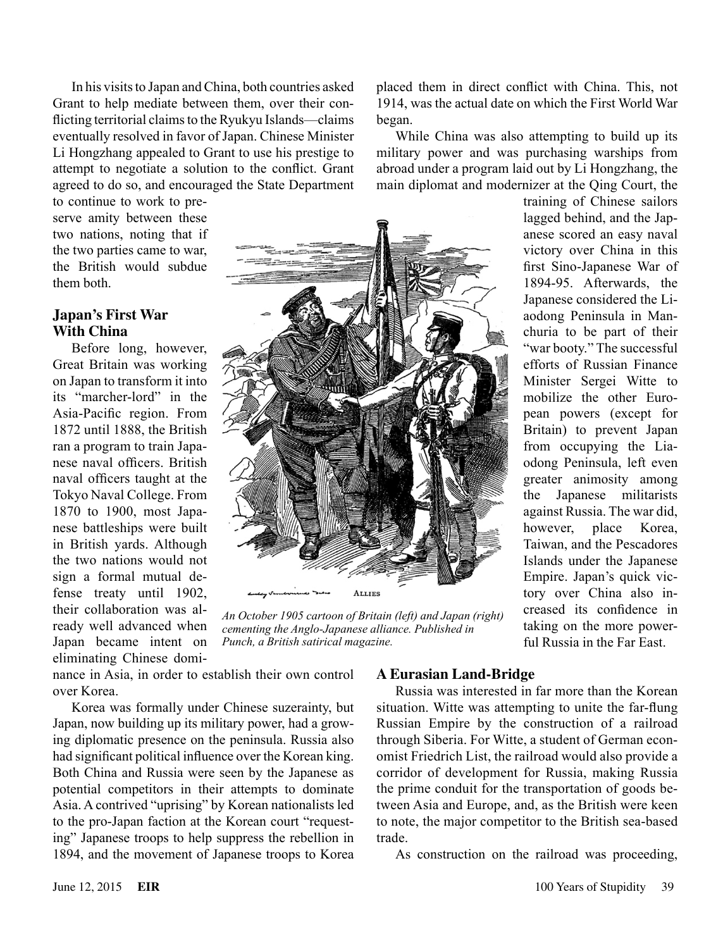In his visits to Japan and China, both countries asked Grant to help mediate between them, over their conflicting territorial claims to the Ryukyu Islands—claims eventually resolved in favor of Japan. Chinese Minister Li Hongzhang appealed to Grant to use his prestige to attempt to negotiate a solution to the conflict. Grant agreed to do so, and encouraged the State Department

to continue to work to preserve amity between these two nations, noting that if the two parties came to war, the British would subdue them both.

## **Japan's First War With China**

Before long, however, Great Britain was working on Japan to transform it into its "marcher-lord" in the Asia-Pacific region. From 1872 until 1888, the British ran a program to train Japanese naval officers. British naval officers taught at the Tokyo Naval College. From 1870 to 1900, most Japanese battleships were built in British yards. Although the two nations would not sign a formal mutual defense treaty until 1902, their collaboration was already well advanced when Japan became intent on eliminating Chinese domi-



*An October 1905 cartoon of Britain (left) and Japan (right) cementing the Anglo-Japanese alliance. Published in Punch, a British satirical magazine.*

nance in Asia, in order to establish their own control over Korea.

Korea was formally under Chinese suzerainty, but Japan, now building up its military power, had a growing diplomatic presence on the peninsula. Russia also had significant political influence over the Korean king. Both China and Russia were seen by the Japanese as potential competitors in their attempts to dominate Asia. A contrived "uprising" by Korean nationalists led to the pro-Japan faction at the Korean court "requesting" Japanese troops to help suppress the rebellion in 1894, and the movement of Japanese troops to Korea

### **A Eurasian Land-Bridge**

Russia was interested in far more than the Korean situation. Witte was attempting to unite the far-flung Russian Empire by the construction of a railroad through Siberia. For Witte, a student of German economist Friedrich List, the railroad would also provide a corridor of development for Russia, making Russia the prime conduit for the transportation of goods between Asia and Europe, and, as the British were keen to note, the major competitor to the British sea-based trade.

As construction on the railroad was proceeding,

placed them in direct conflict with China. This, not 1914, was the actual date on which the First World War began.

While China was also attempting to build up its military power and was purchasing warships from abroad under a program laid out by Li Hongzhang, the main diplomat and modernizer at the Qing Court, the

> training of Chinese sailors lagged behind, and the Japanese scored an easy naval victory over China in this first Sino-Japanese War of 1894-95. Afterwards, the Japanese considered the Liaodong Peninsula in Manchuria to be part of their "war booty." The successful efforts of Russian Finance Minister Sergei Witte to mobilize the other European powers (except for Britain) to prevent Japan from occupying the Liaodong Peninsula, left even greater animosity among the Japanese militarists against Russia. The war did, however, place Korea, Taiwan, and the Pescadores Islands under the Japanese Empire. Japan's quick victory over China also increased its confidence in taking on the more powerful Russia in the Far East.